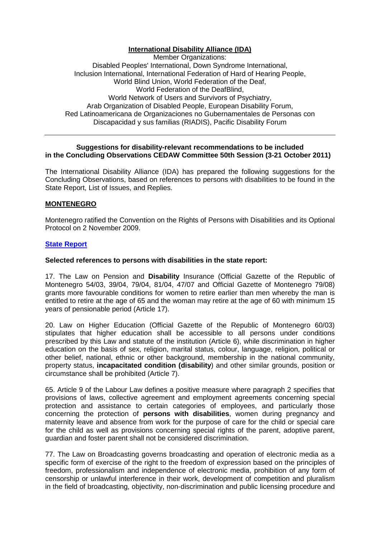## **International Disability Alliance (IDA)**

Member Organizations: Disabled Peoples' International, Down Syndrome International, Inclusion International, International Federation of Hard of Hearing People, World Blind Union, World Federation of the Deaf, World Federation of the DeafBlind, World Network of Users and Survivors of Psychiatry, Arab Organization of Disabled People, European Disability Forum, Red Latinoamericana de Organizaciones no Gubernamentales de Personas con Discapacidad y sus familias (RIADIS), Pacific Disability Forum

#### **Suggestions for disability-relevant recommendations to be included in the Concluding Observations CEDAW Committee 50th Session (3-21 October 2011)**

The International Disability Alliance (IDA) has prepared the following suggestions for the Concluding Observations, based on references to persons with disabilities to be found in the State Report, List of Issues, and Replies.

# **MONTENEGRO**

Montenegro ratified the Convention on the Rights of Persons with Disabilities and its Optional Protocol on 2 November 2009.

#### **State Report**

#### **Selected references to persons with disabilities in the state report:**

17. The Law on Pension and **Disability** Insurance (Official Gazette of the Republic of Montenegro 54/03, 39/04, 79/04, 81/04, 47/07 and Official Gazette of Montenegro 79/08) grants more favourable conditions for women to retire earlier than men whereby the man is entitled to retire at the age of 65 and the woman may retire at the age of 60 with minimum 15 years of pensionable period (Article 17).

20. Law on Higher Education (Official Gazette of the Republic of Montenegro 60/03) stipulates that higher education shall be accessible to all persons under conditions prescribed by this Law and statute of the institution (Article 6), while discrimination in higher education on the basis of sex, religion, marital status, colour, language, religion, political or other belief, national, ethnic or other background, membership in the national community, property status, **incapacitated condition (disability**) and other similar grounds, position or circumstance shall be prohibited (Article 7).

65. Article 9 of the Labour Law defines a positive measure where paragraph 2 specifies that provisions of laws, collective agreement and employment agreements concerning special protection and assistance to certain categories of employees, and particularly those concerning the protection of **persons with disabilities**, women during pregnancy and maternity leave and absence from work for the purpose of care for the child or special care for the child as well as provisions concerning special rights of the parent, adoptive parent, guardian and foster parent shall not be considered discrimination.

77. The Law on Broadcasting governs broadcasting and operation of electronic media as a specific form of exercise of the right to the freedom of expression based on the principles of freedom, professionalism and independence of electronic media, prohibition of any form of censorship or unlawful interference in their work, development of competition and pluralism in the field of broadcasting, objectivity, non-discrimination and public licensing procedure and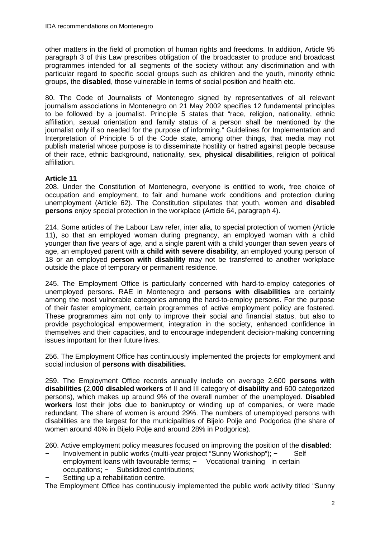other matters in the field of promotion of human rights and freedoms. In addition, Article 95 paragraph 3 of this Law prescribes obligation of the broadcaster to produce and broadcast programmes intended for all segments of the society without any discrimination and with particular regard to specific social groups such as children and the youth, minority ethnic groups, the **disabled**, those vulnerable in terms of social position and health etc.

80. The Code of Journalists of Montenegro signed by representatives of all relevant journalism associations in Montenegro on 21 May 2002 specifies 12 fundamental principles to be followed by a journalist. Principle 5 states that "race, religion, nationality, ethnic affiliation, sexual orientation and family status of a person shall be mentioned by the journalist only if so needed for the purpose of informing." Guidelines for Implementation and Interpretation of Principle 5 of the Code state, among other things, that media may not publish material whose purpose is to disseminate hostility or hatred against people because of their race, ethnic background, nationality, sex, **physical disabilities**, religion of political affiliation.

# **Article 11**

208. Under the Constitution of Montenegro, everyone is entitled to work, free choice of occupation and employment, to fair and humane work conditions and protection during unemployment (Article 62). The Constitution stipulates that youth, women and **disabled persons** enjoy special protection in the workplace (Article 64, paragraph 4).

214. Some articles of the Labour Law refer, inter alia, to special protection of women (Article 11), so that an employed woman during pregnancy, an employed woman with a child younger than five years of age, and a single parent with a child younger than seven years of age, an employed parent with a **child with severe disability**, an employed young person of 18 or an employed **person with disability** may not be transferred to another workplace outside the place of temporary or permanent residence.

245. The Employment Office is particularly concerned with hard-to-employ categories of unemployed persons. RAE in Montenegro and **persons with disabilities** are certainly among the most vulnerable categories among the hard-to-employ persons. For the purpose of their faster employment, certain programmes of active employment policy are fostered. These programmes aim not only to improve their social and financial status, but also to provide psychological empowerment, integration in the society, enhanced confidence in themselves and their capacities, and to encourage independent decision-making concerning issues important for their future lives.

256. The Employment Office has continuously implemented the projects for employment and social inclusion of **persons with disabilities.** 

259. The Employment Office records annually include on average 2,600 **persons with disabilities (**2,**000 disabled workers** of II and III category of **disability** and 600 categorized persons), which makes up around 9% of the overall number of the unemployed. **Disabled workers** lost their jobs due to bankruptcy or winding up of companies, or were made redundant. The share of women is around 29%. The numbers of unemployed persons with disabilities are the largest for the municipalities of Bijelo Polje and Podgorica (the share of women around 40% in Bijelo Polje and around 28% in Podgorica).

260. Active employment policy measures focused on improving the position of the **disabled**:

- − Involvement in public works (multi-year project "Sunny Workshop"); − Self employment loans with favourable terms; - Vocational training in certain occupations: – Subsidized contributions:
- Setting up a rehabilitation centre.

The Employment Office has continuously implemented the public work activity titled "Sunny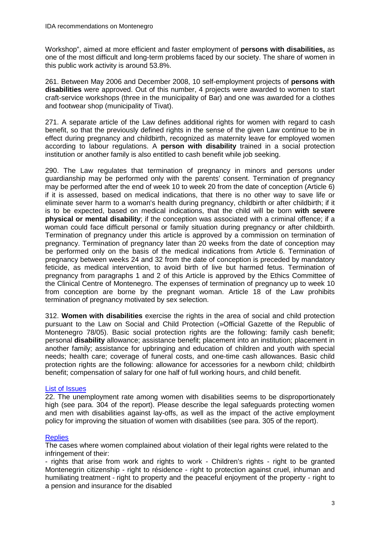Workshop", aimed at more efficient and faster employment of **persons with disabilities,** as one of the most difficult and long-term problems faced by our society. The share of women in this public work activity is around 53.8%.

261. Between May 2006 and December 2008, 10 self-employment projects of **persons with disabilities** were approved. Out of this number, 4 projects were awarded to women to start craft-service workshops (three in the municipality of Bar) and one was awarded for a clothes and footwear shop (municipality of Tivat).

271. A separate article of the Law defines additional rights for women with regard to cash benefit, so that the previously defined rights in the sense of the given Law continue to be in effect during pregnancy and childbirth, recognized as maternity leave for employed women according to labour regulations. A **person with disability** trained in a social protection institution or another family is also entitled to cash benefit while job seeking.

290. The Law regulates that termination of pregnancy in minors and persons under guardianship may be performed only with the parents' consent. Termination of pregnancy may be performed after the end of week 10 to week 20 from the date of conception (Article 6) if it is assessed, based on medical indications, that there is no other way to save life or eliminate sever harm to a woman's health during pregnancy, childbirth or after childbirth; if it is to be expected, based on medical indications, that the child will be born **with severe physical or mental disability**; if the conception was associated with a criminal offence; if a woman could face difficult personal or family situation during pregnancy or after childbirth. Termination of pregnancy under this article is approved by a commission on termination of pregnancy. Termination of pregnancy later than 20 weeks from the date of conception may be performed only on the basis of the medical indications from Article 6. Termination of pregnancy between weeks 24 and 32 from the date of conception is preceded by mandatory feticide, as medical intervention, to avoid birth of live but harmed fetus. Termination of pregnancy from paragraphs 1 and 2 of this Article is approved by the Ethics Committee of the Clinical Centre of Montenegro. The expenses of termination of pregnancy up to week 10 from conception are borne by the pregnant woman. Article 18 of the Law prohibits termination of pregnancy motivated by sex selection.

312. **Women with disabilities** exercise the rights in the area of social and child protection pursuant to the Law on Social and Child Protection (»Official Gazette of the Republic of Montenegro 78/05). Basic social protection rights are the following: family cash benefit; personal **disability** allowance; assistance benefit; placement into an institution; placement in another family; assistance for upbringing and education of children and youth with special needs; health care; coverage of funeral costs, and one-time cash allowances. Basic child protection rights are the following: allowance for accessories for a newborn child; childbirth benefit; compensation of salary for one half of full working hours, and child benefit.

## List of Issues

22. The unemployment rate among women with disabilities seems to be disproportionately high (see para. 304 of the report). Please describe the legal safeguards protecting women and men with disabilities against lay-offs, as well as the impact of the active employment policy for improving the situation of women with disabilities (see para. 305 of the report).

## **Replies**

The cases where women complained about violation of their legal rights were related to the infringement of their:

- rights that arise from work and rights to work - Children's rights - right to be granted Montenegrin citizenship - right to résidence - right to protection against cruel, inhuman and humiliating treatment - right to property and the peaceful enjoyment of the property - right to a pension and insurance for the disabled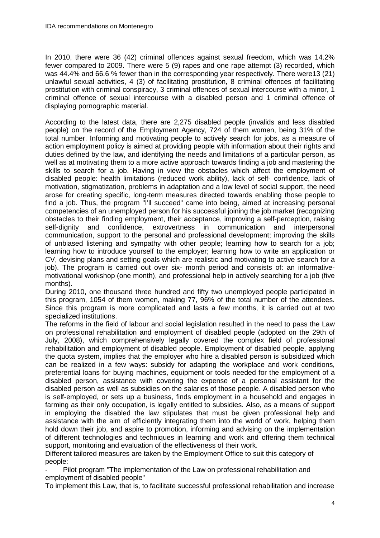In 2010, there were 36 (42) criminal offences against sexual freedom, which was 14.2% fewer compared to 2009. There were 5 (9) rapes and one rape attempt (3) recorded, which was 44.4% and 66.6 % fewer than in the corresponding year respectively. There were13 (21) unlawful sexual activities, 4 (3) of facilitating prostitution, 8 criminal offences of facilitating prostitution with criminal conspiracy, 3 criminal offences of sexual intercourse with a minor, 1 criminal offence of sexual intercourse with a disabled person and 1 criminal offence of displaying pornographic material.

According to the latest data, there are 2,275 disabled people (invalids and less disabled people) on the record of the Employment Agency, 724 of them women, being 31% of the total number. Informing and motivating people to actively search for jobs, as a measure of action employment policy is aimed at providing people with information about their rights and duties defined by the law, and identifying the needs and limitations of a particular person, as well as at motivating them to a more active approach towards finding a job and mastering the skills to search for a job. Having in view the obstacles which affect the employment of disabled people: health limitations (reduced work ability), lack of self- confidence, lack of motivation, stigmatization, problems in adaptation and a low level of social support, the need arose for creating specific, long-term measures directed towards enabling those people to find a job. Thus, the program "I'll succeed" came into being, aimed at increasing personal competencies of an unemployed person for his successful joining the job market (recognizing obstacles to their finding employment, their acceptance, improving a self-perception, raising self-dignity and confidence, extrovertness in communication and interpersonal communication, support to the personal and professional development; improving the skills of unbiased listening and sympathy with other people; learning how to search for a job; learning how to introduce yourself to the employer; learning how to write an application or CV, devising plans and setting goals which are realistic and motivating to active search for a job). The program is carried out over six- month period and consists of: an informativemotivational workshop (one month), and professional help in actively searching for a job (five months).

During 2010, one thousand three hundred and fifty two unemployed people participated in this program, 1054 of them women, making 77, 96% of the total number of the attendees. Since this program is more complicated and lasts a few months, it is carried out at two specialized institutions.

The reforms in the field of labour and social legislation resulted in the need to pass the Law on professional rehabilitation and employment of disabled people (adopted on the 29th of July, 2008), which comprehensively legally covered the complex field of professional rehabilitation and employment of disabled people. Employment of disabled people, applying the quota system, implies that the employer who hire a disabled person is subsidized which can be realized in a few ways: subsidy for adapting the workplace and work conditions, preferential loans for buying machines, equipment or tools needed for the employment of a disabled person, assistance with covering the expense of a personal assistant for the disabled person as well as subsidies on the salaries of those people. A disabled person who is self-employed, or sets up a business, finds employment in a household and engages in farming as their only occupation, is legally entitled to subsidies. Also, as a means of support in employing the disabled the law stipulates that must be given professional help and assistance with the aim of efficiently integrating them into the world of work, helping them hold down their job, and aspire to promotion, informing and advising on the implementation of different technologies and techniques in learning and work and offering them technical support, monitoring and evaluation of the effectiveness of their work.

Different tailored measures are taken by the Employment Office to suit this category of people:

Pilot program "The implementation of the Law on professional rehabilitation and employment of disabled people"

To implement this Law, that is, to facilitate successful professional rehabilitation and increase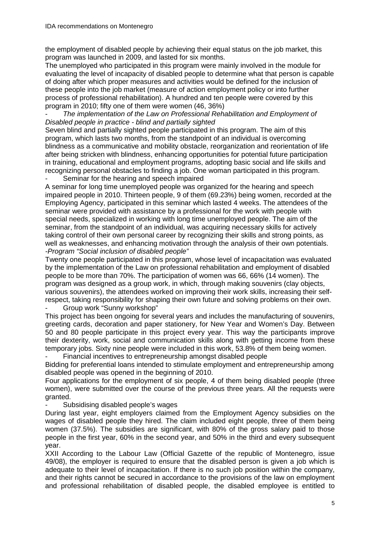the employment of disabled people by achieving their equal status on the job market, this program was launched in 2009, and lasted for six months.

The unemployed who participated in this program were mainly involved in the module for evaluating the level of incapacity of disabled people to determine what that person is capable of doing after which proper measures and activities would be defined for the inclusion of these people into the job market (measure of action employment policy or into further process of professional rehabilitation). A hundred and ten people were covered by this program in 2010; fifty one of them were women (46, 36%)

The implementation of the Law on Professional Rehabilitation and Employment of Disabled people in practice - blind and partially sighted

Seven blind and partially sighted people participated in this program. The aim of this program, which lasts two months, from the standpoint of an individual is overcoming blindness as a communicative and mobility obstacle, reorganization and reorientation of life after being stricken with blindness, enhancing opportunities for potential future participation in training, educational and employment programs, adopting basic social and life skills and recognizing personal obstacles to finding a job. One woman participated in this program. Seminar for the hearing and speech impaired

A seminar for long time unemployed people was organized for the hearing and speech impaired people in 2010. Thirteen people, 9 of them (69.23%) being women, recorded at the Employing Agency, participated in this seminar which lasted 4 weeks. The attendees of the seminar were provided with assistance by a professional for the work with people with special needs, specialized in working with long time unemployed people. The aim of the seminar, from the standpoint of an individual, was acquiring necessary skills for actively taking control of their own personal career by recognizing their skills and strong points, as well as weaknesses, and enhancing motivation through the analysis of their own potentials. -Program "Social inclusion of disabled people"

Twenty one people participated in this program, whose level of incapacitation was evaluated by the implementation of the Law on professional rehabilitation and employment of disabled people to be more than 70%. The participation of women was 66, 66% (14 women). The program was designed as a group work, in which, through making souvenirs (clay objects, various souvenirs), the attendees worked on improving their work skills, increasing their selfrespect, taking responsibility for shaping their own future and solving problems on their own.

Group work "Sunny workshop"

This project has been ongoing for several years and includes the manufacturing of souvenirs, greeting cards, decoration and paper stationery, for New Year and Women's Day. Between 50 and 80 people participate in this project every year. This way the participants improve their dexterity, work, social and communication skills along with getting income from these temporary jobs. Sixty nine people were included in this work, 53.8% of them being women.

Financial incentives to entrepreneurship amongst disabled people

Bidding for preferential loans intended to stimulate employment and entrepreneurship among disabled people was opened in the beginning of 2010.

Four applications for the employment of six people, 4 of them being disabled people (three women), were submitted over the course of the previous three years. All the requests were granted.

Subsidising disabled people's wages

During last year, eight employers claimed from the Employment Agency subsidies on the wages of disabled people they hired. The claim included eight people, three of them being women (37.5%). The subsidies are significant, with 80% of the gross salary paid to those people in the first year, 60% in the second year, and 50% in the third and every subsequent year.

XXII According to the Labour Law (Official Gazette of the republic of Montenegro, issue 49/08), the employer is required to ensure that the disabled person is given a job which is adequate to their level of incapacitation. If there is no such job position within the company, and their rights cannot be secured in accordance to the provisions of the law on employment and professional rehabilitation of disabled people, the disabled employee is entitled to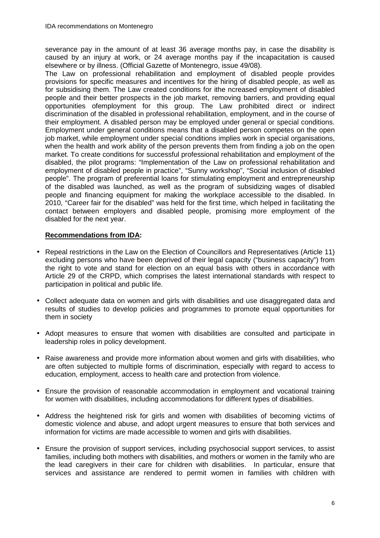severance pay in the amount of at least 36 average months pay, in case the disability is caused by an injury at work, or 24 average months pay if the incapacitation is caused elsewhere or by illness. (Official Gazette of Montenegro, issue 49/08).

The Law on professional rehabilitation and employment of disabled people provides provisions for specific measures and incentives for the hiring of disabled people, as well as for subsidising them. The Law created conditions for ithe ncreased employment of disabled people and their better prospects in the job market, removing barriers, and providing equal opportunities ofemployment for this group. The Law prohibited direct or indirect discrimination of the disabled in professional rehabilitation, employment, and in the course of their employment. A disabled person may be employed under general or special conditions. Employment under general conditions means that a disabled person competes on the open job market, while employment under special conditions implies work in special organisations, when the health and work ability of the person prevents them from finding a job on the open market. To create conditions for successful professional rehabilitation and employment of the disabled, the pilot programs: "Implementation of the Law on professional rehabilitation and employment of disabled people in practice", "Sunny workshop", "Social inclusion of disabled people". The program of preferential loans for stimulating employment and entrepreneurship of the disabled was launched, as well as the program of subsidizing wages of disabled people and financing equipment for making the workplace accessible to the disabled. In 2010, "Career fair for the disabled" was held for the first time, which helped in facilitating the contact between employers and disabled people, promising more employment of the disabled for the next year.

# **Recommendations from IDA:**

- Repeal restrictions in the Law on the Election of Councillors and Representatives (Article 11) excluding persons who have been deprived of their legal capacity ("business capacity") from the right to vote and stand for election on an equal basis with others in accordance with Article 29 of the CRPD, which comprises the latest international standards with respect to participation in political and public life.
- Collect adequate data on women and girls with disabilities and use disaggregated data and results of studies to develop policies and programmes to promote equal opportunities for them in society
- Adopt measures to ensure that women with disabilities are consulted and participate in leadership roles in policy development.
- Raise awareness and provide more information about women and girls with disabilities, who are often subjected to multiple forms of discrimination, especially with regard to access to education, employment, access to health care and protection from violence.
- Ensure the provision of reasonable accommodation in employment and vocational training for women with disabilities, including accommodations for different types of disabilities.
- Address the heightened risk for girls and women with disabilities of becoming victims of domestic violence and abuse, and adopt urgent measures to ensure that both services and information for victims are made accessible to women and girls with disabilities.
- Ensure the provision of support services, including psychosocial support services, to assist families, including both mothers with disabilities, and mothers or women in the family who are the lead caregivers in their care for children with disabilities. In particular, ensure that services and assistance are rendered to permit women in families with children with